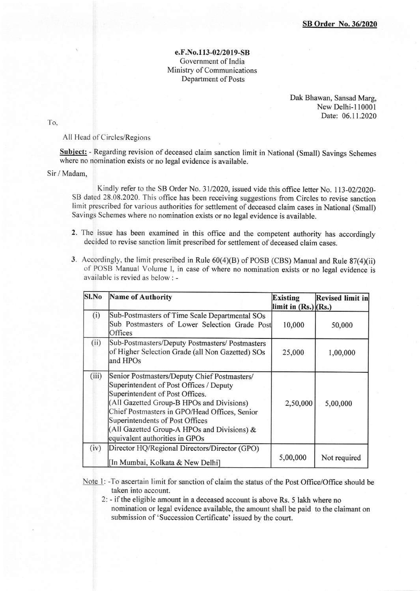## e.F.No.1 13-02/2019-SB Govemment of India Ministry of Communications Department of Posts

Dak Bhawan, Sansad Marg, New Delhi-l10001 Date: 06.11.2020

To.

All Head of Circles/Region

Subject: - Regarding revision of deceased claim sanction limit in National (Small) Savings Schemes where no nomination exists or no legal evidence is available.

Sir / Madam,

Kindly refer to the SB Order No. 31/2020, issued vide this office letter No. 113-02/2020-SB dated 28.08.2020. This office has been receiving suggestions from Circles to revise sanction limit prescribed for various authorities for settlement of deceased claim cases in National (Small) Savings Schemes where no nomination exists or no legal evidence is available.

- 2. The issue has been examined in this office and the competent authority has accordingly decided to revise sanction limit prescribed for settlement of deceased claim cases.
- 3. Accordingly, the limit prescribed in Rule 60(4)(8) of POSB (CBS) Manual and Rule 87(4)(ii) of POSB Manual Volurne l, in case of where no nomination exists or no legal evidence is available is revied as below: -

| Sl.No | Name of Authority                                                                                                                                                                                                                                                                                                                            | <b>Existing</b><br>limit in $(Rs.)$ $(Rs.)$ | <b>Revised limit in</b> |
|-------|----------------------------------------------------------------------------------------------------------------------------------------------------------------------------------------------------------------------------------------------------------------------------------------------------------------------------------------------|---------------------------------------------|-------------------------|
| (i)   | Sub-Postmasters of Time Scale Departmental SOs<br>Sub Postmasters of Lower Selection Grade Post<br>Offices                                                                                                                                                                                                                                   | 10,000                                      | 50,000                  |
| (ii)  | Sub-Postmasters/Deputy Postmasters/ Postmasters<br>of Higher Selection Grade (all Non Gazetted) SOs<br>land HPOs                                                                                                                                                                                                                             | 25,000                                      | 1,00,000                |
| (iii) | Senior Postmasters/Deputy Chief Postmasters/<br>Superintendent of Post Offices / Deputy<br>Superintendent of Post Offices.<br>(All Gazetted Group-B HPOs and Divisions)<br>Chief Postmasters in GPO/Head Offices, Senior<br>Superintendents of Post Offices<br>(All Gazetted Group-A HPOs and Divisions) &<br>equivalent authorities in GPOs | 2,50,000                                    | 5,00,000                |
| (iv)  | Director HQ/Regional Directors/Director (GPO)<br>[In Mumbai, Kolkata & New Delhi]                                                                                                                                                                                                                                                            | 5,00,000                                    | Not required            |

Note 1: -To ascertain limit for sanction of claim the status of the Post Office/Office should be taken into account.

2: - if the eligible amount in a deceased account is above Rs. 5 lakh where no nomination or legal evidence available, the amount shall be paid to the claimant on submission of'Succession Certificate' issued by the court.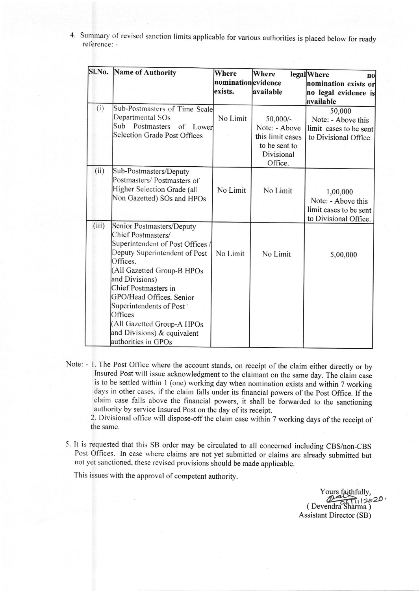4. Summary of revised sanction limits applicable for various authorities is placed below for ready reference: -

|       | SI.No. Name of Authority                                                                                                                                                                                                                                                                                                                                       | Where<br>nominationevidence<br>exists. | Where<br>available                                                                        | <b>legal</b> Where<br>$\mathbf{n}$<br>nomination exists or<br>no legal evidence is<br>available |
|-------|----------------------------------------------------------------------------------------------------------------------------------------------------------------------------------------------------------------------------------------------------------------------------------------------------------------------------------------------------------------|----------------------------------------|-------------------------------------------------------------------------------------------|-------------------------------------------------------------------------------------------------|
| (i)   | Sub-Postmasters of Time Scale<br>Departmental SOs<br>Sub<br>Postmasters<br>of Lower<br>Selection Grade Post Offices                                                                                                                                                                                                                                            | No Limit                               | $50,000/-$<br>Note: - Above<br>this limit cases<br>to be sent to<br>Divisional<br>Office. | 50,000<br>Note: - Above this<br>limit cases to be sent<br>to Divisional Office.                 |
| (ii)  | Sub-Postmasters/Deputy<br>Postmasters/ Postmasters of<br>Higher Selection Grade (all<br>Non Gazetted) SOs and HPOs                                                                                                                                                                                                                                             | No Limit                               | No Limit                                                                                  | 1,00,000<br>Note: - Above this<br>limit cases to be sent<br>to Divisional Office.               |
| (iii) | Senior Postmasters/Deputy<br>Chief Postmasters/<br>Superintendent of Post Offices /<br>Deputy Superintendent of Post<br>Offices.<br>(All Gazetted Group-B HPOs<br>and Divisions)<br>Chief Postmasters in<br>GPO/Head Offices, Senior<br>Superintendents of Post<br>Offices<br>(All Gazetted Group-A HPOs<br>and Divisions) & equivalent<br>authorities in GPOs | No Limit                               | No Limit                                                                                  | 5,00,000                                                                                        |

Note: - l. The Post office where the account stands, on receipt of the claim either directly or by Insured Post will issue acknowledgment to the claimant on the same day. The claim case is to be settled within I (one) working day when nomination exists and within 7 working days in other cases, if the claim falls under its financial powers of the Post Office. If the claim case falls above the financial powers, it shall be forwarded to the sanctioning authority by service lnsured Post on the day of its receipt.

2. Divisional office will dispose-offthe claim case within 7 working days of the receipt of the same.

5. It is requested that this sB order may be circulated to all concemed including cBS/non-cBS Post Offices. In case where claims are not yet submitted or claims are already submitted but not yet sanctioned, these revised provisions should be made applicable.

This issues with the approval of competent authority.

Yours faithfully, (Devendra Sharma) Assistant Director (SB)